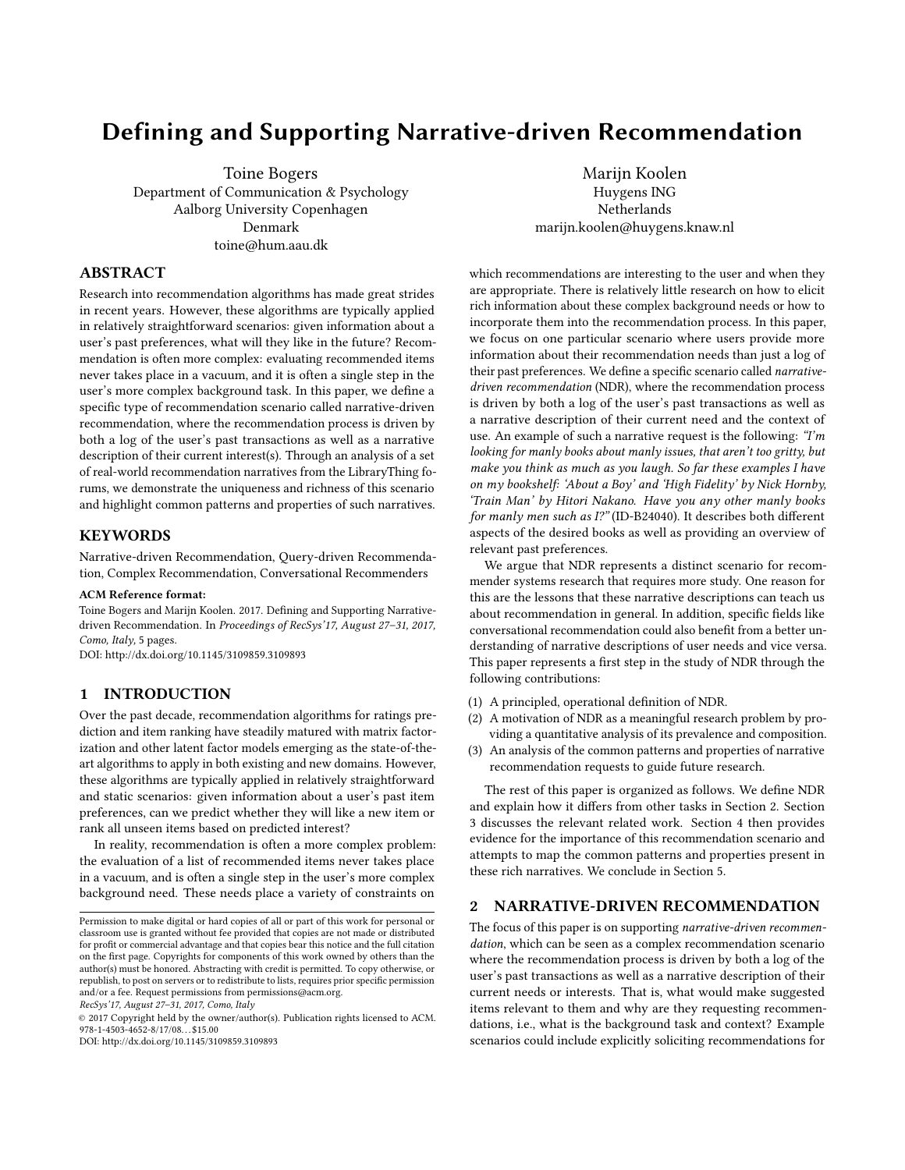# Defining and Supporting Narrative-driven Recommendation

Toine Bogers Department of Communication & Psychology Aalborg University Copenhagen Denmark toine@hum.aau.dk

ABSTRACT

Research into recommendation algorithms has made great strides in recent years. However, these algorithms are typically applied in relatively straightforward scenarios: given information about a user's past preferences, what will they like in the future? Recommendation is often more complex: evaluating recommended items never takes place in a vacuum, and it is often a single step in the user's more complex background task. In this paper, we define a specific type of recommendation scenario called narrative-driven recommendation, where the recommendation process is driven by both a log of the user's past transactions as well as a narrative description of their current interest(s). Through an analysis of a set of real-world recommendation narratives from the LibraryThing forums, we demonstrate the uniqueness and richness of this scenario and highlight common patterns and properties of such narratives.

**KEYWORDS** 

Narrative-driven Recommendation, Query-driven Recommendation, Complex Recommendation, Conversational Recommenders

#### ACM Reference format:

Toine Bogers and Marijn Koolen. 2017. Defining and Supporting Narrativedriven Recommendation. In Proceedings of RecSys'17, August 27–31, 2017, Como, Italy, 5 [p](#page-4-0)ages.

DOI: http://dx.doi.org/10.1145/3109859.3109893

## 1 INTRODUCTION

Over the past decade, recommendation algorithms for ratings prediction and item ranking have steadily matured with matrix factorization and other latent factor models emerging as the state-of-theart algorithms to apply in both existing and new domains. However, these algorithms are typically applied in relatively straightforward and static scenarios: given information about a user's past item preferences, can we predict whether they will like a new item or rank all unseen items based on predicted interest?

In reality, recommendation is often a more complex problem: the evaluation of a list of recommended items never takes place in a vacuum, and is often a single step in the user's more complex background need. These needs place a variety of constraints on

RecSys'17, August 27–31, 2017, Como, Italy

© 2017 Copyright held by the owner/author(s). Publication rights licensed to ACM.  $978 - 1 - 4503 - 4652 - 8/17/08$ .  $\therefore$  \$15.00

DOI: http://dx.doi.org/10.1145/3109859.3109893

Marijn Koolen Huygens ING Netherlands marijn.koolen@huygens.knaw.nl

which recommendations are interesting to the user and when they are appropriate. There is relatively little research on how to elicit rich information about these complex background needs or how to incorporate them into the recommendation process. In this paper, we focus on one particular scenario where users provide more information about their recommendation needs than just a log of their past preferences. We define a specific scenario called narrativedriven recommendation (NDR), where the recommendation process is driven by both a log of the user's past transactions as well as a narrative description of their current need and the context of use. An example of such a narrative request is the following: "I'm looking for manly books about manly issues, that aren't too gritty, but make you think as much as you laugh. So far these examples I have on my bookshelf: 'About a Boy' and 'High Fidelity' by Nick Hornby, 'Train Man' by Hitori Nakano. Have you any other manly books for manly men such as I?" (ID-B24040). It describes both different aspects of the desired books as well as providing an overview of relevant past preferences.

We argue that NDR represents a distinct scenario for recommender systems research that requires more study. One reason for this are the lessons that these narrative descriptions can teach us about recommendation in general. In addition, specific fields like conversational recommendation could also benefit from a better understanding of narrative descriptions of user needs and vice versa. This paper represents a first step in the study of NDR through the following contributions:

- (1) A principled, operational definition of NDR.
- (2) A motivation of NDR as a meaningful research problem by providing a quantitative analysis of its prevalence and composition.
- (3) An analysis of the common patterns and properties of narrative recommendation requests to guide future research.

The rest of this paper is organized as follows. We define NDR and explain how it differs from other tasks in Section [2.](#page-0-0) Section [3](#page-1-0) discusses the relevant related work. Section [4](#page-2-0) then provides evidence for the importance of this recommendation scenario and attempts to map the common patterns and properties present in these rich narratives. We conclude in Section [5.](#page-4-1)

## <span id="page-0-0"></span>2 NARRATIVE-DRIVEN RECOMMENDATION

The focus of this paper is on supporting narrative-driven recommendation, which can be seen as a complex recommendation scenario where the recommendation process is driven by both a log of the user's past transactions as well as a narrative description of their current needs or interests. That is, what would make suggested items relevant to them and why are they requesting recommendations, i.e., what is the background task and context? Example scenarios could include explicitly soliciting recommendations for

Permission to make digital or hard copies of all or part of this work for personal or classroom use is granted without fee provided that copies are not made or distributed for profit or commercial advantage and that copies bear this notice and the full citation on the first page. Copyrights for components of this work owned by others than the  $\,$ author(s) must be honored. Abstracting with credit is permitted. To copy otherwise, or republish, to post on servers or to redistribute to lists, requires prior specific permission and/or a fee. Request permissions from permissions@acm.org.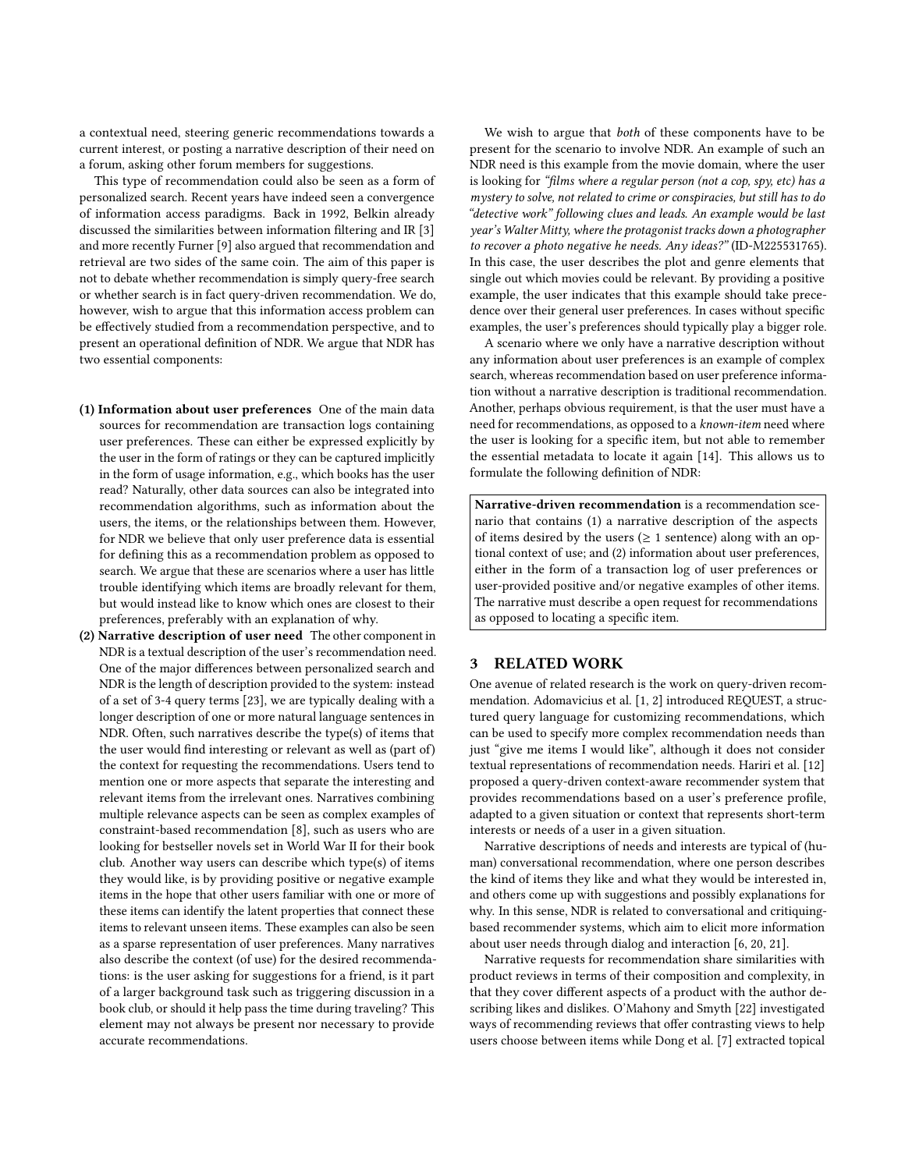a contextual need, steering generic recommendations towards a current interest, or posting a narrative description of their need on a forum, asking other forum members for suggestions.

This type of recommendation could also be seen as a form of personalized search. Recent years have indeed seen a convergence of information access paradigms. Back in 1992, Belkin already discussed the similarities between information filtering and IR [\[3\]](#page-4-2) and more recently Furner [\[9\]](#page-4-3) also argued that recommendation and retrieval are two sides of the same coin. The aim of this paper is not to debate whether recommendation is simply query-free search or whether search is in fact query-driven recommendation. We do, however, wish to argue that this information access problem can be effectively studied from a recommendation perspective, and to present an operational definition of NDR. We argue that NDR has two essential components:

- (1) Information about user preferences One of the main data sources for recommendation are transaction logs containing user preferences. These can either be expressed explicitly by the user in the form of ratings or they can be captured implicitly in the form of usage information, e.g., which books has the user read? Naturally, other data sources can also be integrated into recommendation algorithms, such as information about the users, the items, or the relationships between them. However, for NDR we believe that only user preference data is essential for defining this as a recommendation problem as opposed to search. We argue that these are scenarios where a user has little trouble identifying which items are broadly relevant for them, but would instead like to know which ones are closest to their preferences, preferably with an explanation of why.
- (2) Narrative description of user need The other component in NDR is a textual description of the user's recommendation need. One of the major differences between personalized search and NDR is the length of description provided to the system: instead of a set of 3-4 query terms [\[23\]](#page-4-4), we are typically dealing with a longer description of one or more natural language sentences in NDR. Often, such narratives describe the type(s) of items that the user would find interesting or relevant as well as (part of) the context for requesting the recommendations. Users tend to mention one or more aspects that separate the interesting and relevant items from the irrelevant ones. Narratives combining multiple relevance aspects can be seen as complex examples of constraint-based recommendation [\[8\]](#page-4-5), such as users who are looking for bestseller novels set in World War II for their book club. Another way users can describe which type(s) of items they would like, is by providing positive or negative example items in the hope that other users familiar with one or more of these items can identify the latent properties that connect these items to relevant unseen items. These examples can also be seen as a sparse representation of user preferences. Many narratives also describe the context (of use) for the desired recommendations: is the user asking for suggestions for a friend, is it part of a larger background task such as triggering discussion in a book club, or should it help pass the time during traveling? This element may not always be present nor necessary to provide accurate recommendations.

We wish to argue that both of these components have to be present for the scenario to involve NDR. An example of such an NDR need is this example from the movie domain, where the user is looking for "films where a regular person (not a cop, spy, etc) has a mystery to solve, not related to crime or conspiracies, but still has to do "detective work" following clues and leads. An example would be last year's Walter Mitty, where the protagonist tracks down a photographer to recover a photo negative he needs. Any ideas?" (ID-M225531765). In this case, the user describes the plot and genre elements that single out which movies could be relevant. By providing a positive example, the user indicates that this example should take precedence over their general user preferences. In cases without specific examples, the user's preferences should typically play a bigger role.

A scenario where we only have a narrative description without any information about user preferences is an example of complex search, whereas recommendation based on user preference information without a narrative description is traditional recommendation. Another, perhaps obvious requirement, is that the user must have a need for recommendations, as opposed to a known-item need where the user is looking for a specific item, but not able to remember the essential metadata to locate it again [\[14\]](#page-4-6). This allows us to formulate the following definition of NDR:

Narrative-driven recommendation is a recommendation scenario that contains (1) a narrative description of the aspects of items desired by the users ( $\geq$  1 sentence) along with an optional context of use; and (2) information about user preferences, either in the form of a transaction log of user preferences or user-provided positive and/or negative examples of other items. The narrative must describe a open request for recommendations as opposed to locating a specific item.

## <span id="page-1-0"></span>3 RELATED WORK

One avenue of related research is the work on query-driven recommendation. Adomavicius et al. [\[1,](#page-4-7) [2\]](#page-4-8) introduced REQUEST, a structured query language for customizing recommendations, which can be used to specify more complex recommendation needs than just "give me items I would like", although it does not consider textual representations of recommendation needs. Hariri et al. [\[12\]](#page-4-9) proposed a query-driven context-aware recommender system that provides recommendations based on a user's preference profile, adapted to a given situation or context that represents short-term interests or needs of a user in a given situation.

Narrative descriptions of needs and interests are typical of (human) conversational recommendation, where one person describes the kind of items they like and what they would be interested in, and others come up with suggestions and possibly explanations for why. In this sense, NDR is related to conversational and critiquingbased recommender systems, which aim to elicit more information about user needs through dialog and interaction [\[6,](#page-4-10) [20,](#page-4-11) [21\]](#page-4-12).

Narrative requests for recommendation share similarities with product reviews in terms of their composition and complexity, in that they cover different aspects of a product with the author describing likes and dislikes. O'Mahony and Smyth [\[22\]](#page-4-13) investigated ways of recommending reviews that offer contrasting views to help users choose between items while Dong et al. [\[7\]](#page-4-14) extracted topical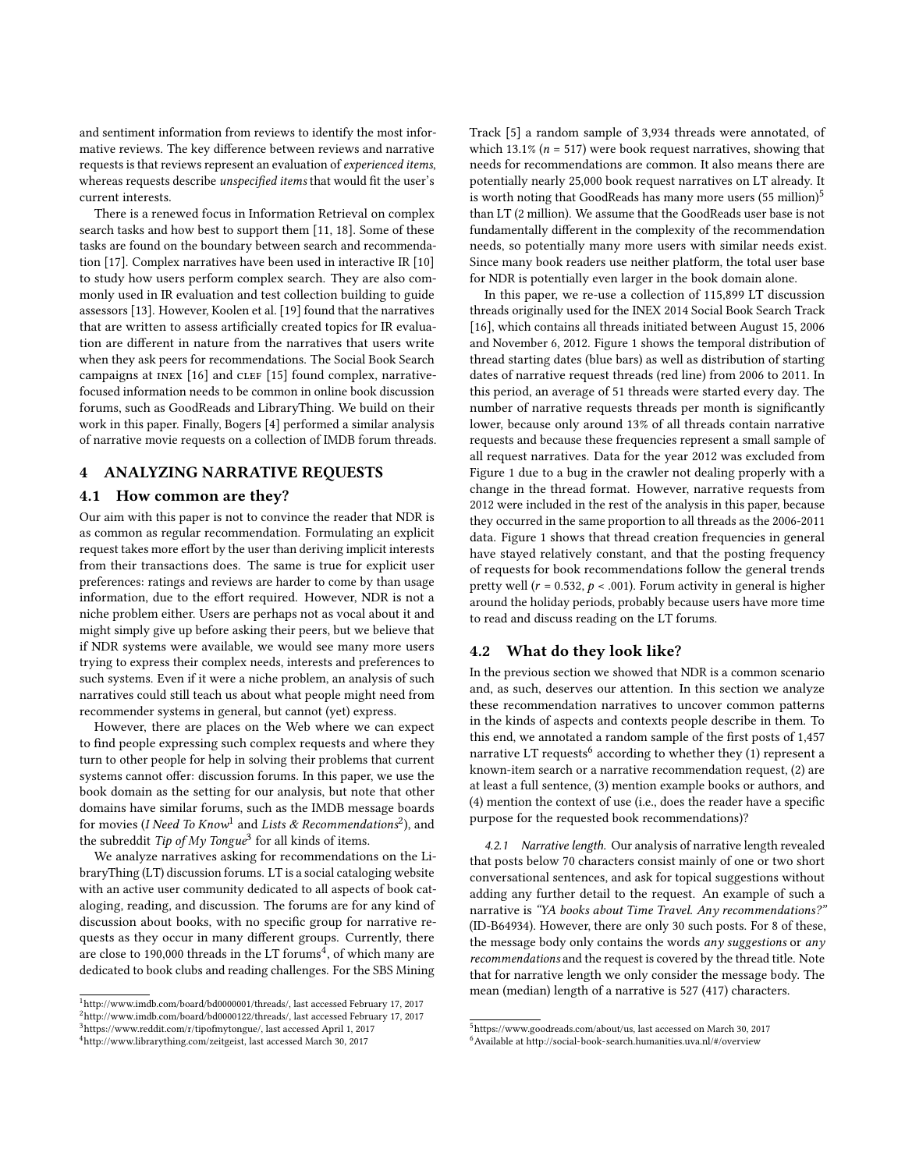and sentiment information from reviews to identify the most informative reviews. The key difference between reviews and narrative requests is that reviews represent an evaluation of experienced items, whereas requests describe unspecified items that would fit the user's current interests.

There is a renewed focus in Information Retrieval on complex search tasks and how best to support them [\[11,](#page-4-15) [18\]](#page-4-16). Some of these tasks are found on the boundary between search and recommendation [\[17\]](#page-4-17). Complex narratives have been used in interactive IR [\[10\]](#page-4-18) to study how users perform complex search. They are also commonly used in IR evaluation and test collection building to guide assessors [\[13\]](#page-4-19). However, Koolen et al. [\[19\]](#page-4-20) found that the narratives that are written to assess artificially created topics for IR evaluation are different in nature from the narratives that users write when they ask peers for recommendations. The Social Book Search campaigns at INEX  $[16]$  and CLEF  $[15]$  found complex, narrativefocused information needs to be common in online book discussion forums, such as GoodReads and LibraryThing. We build on their work in this paper. Finally, Bogers [\[4\]](#page-4-23) performed a similar analysis of narrative movie requests on a collection of IMDB forum threads.

## <span id="page-2-0"></span>4 ANALYZING NARRATIVE REQUESTS

## 4.1 How common are they?

Our aim with this paper is not to convince the reader that NDR is as common as regular recommendation. Formulating an explicit request takes more effort by the user than deriving implicit interests from their transactions does. The same is true for explicit user preferences: ratings and reviews are harder to come by than usage information, due to the effort required. However, NDR is not a niche problem either. Users are perhaps not as vocal about it and might simply give up before asking their peers, but we believe that if NDR systems were available, we would see many more users trying to express their complex needs, interests and preferences to such systems. Even if it were a niche problem, an analysis of such narratives could still teach us about what people might need from recommender systems in general, but cannot (yet) express.

However, there are places on the Web where we can expect to find people expressing such complex requests and where they turn to other people for help in solving their problems that current systems cannot offer: discussion forums. In this paper, we use the book domain as the setting for our analysis, but note that other domains have similar forums, such as the IMDB message boards for movies (I Need To Know<sup>[1](#page-2-1)</sup> and Lists & Recommendations<sup>[2](#page-2-2)</sup>), and the subreddit Tip of My Tongue<sup>[3](#page-2-3)</sup> for all kinds of items.

We analyze narratives asking for recommendations on the LibraryThing (LT) discussion forums. LT is a social cataloging website with an active user community dedicated to all aspects of book cataloging, reading, and discussion. The forums are for any kind of discussion about books, with no specific group for narrative requests as they occur in many different groups. Currently, there are close to 190,000 threads in the LT forums<sup>[4](#page-2-4)</sup>, of which many are dedicated to book clubs and reading challenges. For the SBS Mining

Track [\[5\]](#page-4-24) a random sample of 3,934 threads were annotated, of which 13.1% ( $n = 517$ ) were book request narratives, showing that needs for recommendations are common. It also means there are potentially nearly 25,000 book request narratives on LT already. It is worth noting that GoodReads has many more users  $(55 \text{ million})^5$  $(55 \text{ million})^5$  $(55 \text{ million})^5$ than LT (2 million). We assume that the GoodReads user base is not fundamentally different in the complexity of the recommendation needs, so potentially many more users with similar needs exist. Since many book readers use neither platform, the total user base for NDR is potentially even larger in the book domain alone.

In this paper, we re-use a collection of 115,899 LT discussion threads originally used for the INEX 2014 Social Book Search Track [\[16\]](#page-4-21), which contains all threads initiated between August 15, 2006 and November 6, 2012. Figure [1](#page-3-0) shows the temporal distribution of thread starting dates (blue bars) as well as distribution of starting dates of narrative request threads (red line) from 2006 to 2011. In this period, an average of 51 threads were started every day. The number of narrative requests threads per month is significantly lower, because only around 13% of all threads contain narrative requests and because these frequencies represent a small sample of all request narratives. Data for the year 2012 was excluded from Figure [1](#page-3-0) due to a bug in the crawler not dealing properly with a change in the thread format. However, narrative requests from 2012 were included in the rest of the analysis in this paper, because they occurred in the same proportion to all threads as the 2006-2011 data. Figure [1](#page-3-0) shows that thread creation frequencies in general have stayed relatively constant, and that the posting frequency of requests for book recommendations follow the general trends pretty well ( $r = 0.532$ ,  $p < .001$ ). Forum activity in general is higher around the holiday periods, probably because users have more time to read and discuss reading on the LT forums.

#### 4.2 What do they look like?

In the previous section we showed that NDR is a common scenario and, as such, deserves our attention. In this section we analyze these recommendation narratives to uncover common patterns in the kinds of aspects and contexts people describe in them. To this end, we annotated a random sample of the first posts of 1,457 narrative LT requests<sup>[6](#page-2-6)</sup> according to whether they (1) represent a known-item search or a narrative recommendation request, (2) are at least a full sentence, (3) mention example books or authors, and  $(4)$  mention the context of use (i.e., does the reader have a specific purpose for the requested book recommendations)?

4.2.1 Narrative length. Our analysis of narrative length revealed that posts below 70 characters consist mainly of one or two short conversational sentences, and ask for topical suggestions without adding any further detail to the request. An example of such a narrative is "YA books about Time Travel. Any recommendations?" (ID-B64934). However, there are only 30 such posts. For 8 of these, the message body only contains the words any suggestions or any recommendations and the request is covered by the thread title. Note that for narrative length we only consider the message body. The mean (median) length of a narrative is 527 (417) characters.

<span id="page-2-2"></span><span id="page-2-1"></span><sup>1</sup>[http://www.imdb.com/board/bd0000001/threads/,](http://www.imdb.com/board/bd0000001/threads/) last accessed February 17, 2017 <sup>2</sup>[http://www.imdb.com/board/bd0000122/threads/,](http://www.imdb.com/board/bd0000122/threads/) last accessed February 17, 2017

<span id="page-2-3"></span><sup>3</sup>[https://www.reddit.com/r/tipofmytongue/,](https://www.reddit.com/r/tipofmytongue/) last accessed April 1, 2017

<span id="page-2-4"></span><sup>4</sup>[http://www.librarything.com/zeitgeist,](http://www.librarything.com/zeitgeist) last accessed March 30, 2017

<span id="page-2-6"></span><span id="page-2-5"></span><sup>5</sup>[https://www.goodreads.com/about/us,](https://www.goodreads.com/about/us) last accessed on March 30, 2017  $6$ Available at<http://social-book-search.humanities.uva.nl/#/overview>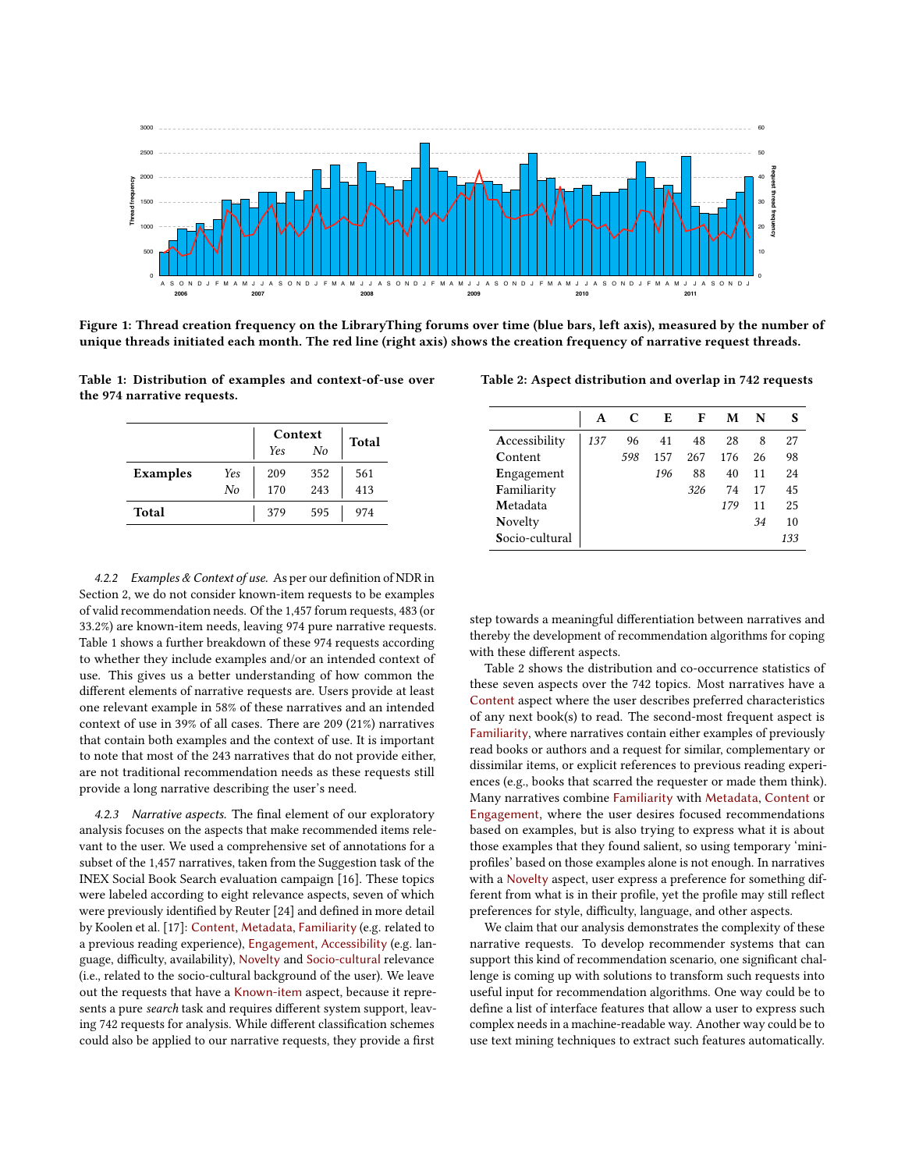<span id="page-3-0"></span>

Figure 1: Thread creation frequency on the LibraryThing forums over time (blue bars, left axis), measured by the number of unique threads initiated each month. The red line (right axis) shows the creation frequency of narrative request threads.

<span id="page-3-1"></span>Table 1: Distribution of examples and context-of-use over the 974 narrative requests.

|                 |     | Context    | Total |     |  |
|-----------------|-----|------------|-------|-----|--|
|                 |     | <b>Yes</b> | No    |     |  |
| <b>Examples</b> | Yes | 209        | 352   | 561 |  |
|                 | No  | 170        | 243   | 413 |  |
| Total           |     | 379        | 595   | 974 |  |

4.2.2 Examples & Context of use. As per our definition of NDR in Section [2,](#page-0-0) we do not consider known-item requests to be examples of valid recommendation needs. Of the 1,457 forum requests, 483 (or 33.2%) are known-item needs, leaving 974 pure narrative requests. Table [1](#page-3-1) shows a further breakdown of these 974 requests according to whether they include examples and/or an intended context of use. This gives us a better understanding of how common the different elements of narrative requests are. Users provide at least one relevant example in 58% of these narratives and an intended context of use in 39% of all cases. There are 209 (21%) narratives that contain both examples and the context of use. It is important to note that most of the 243 narratives that do not provide either, are not traditional recommendation needs as these requests still provide a long narrative describing the user's need.

4.2.3 Narrative aspects. The final element of our exploratory analysis focuses on the aspects that make recommended items relevant to the user. We used a comprehensive set of annotations for a subset of the 1,457 narratives, taken from the Suggestion task of the INEX Social Book Search evaluation campaign [\[16\]](#page-4-21). These topics were labeled according to eight relevance aspects, seven of which were previously identified by Reuter [\[24\]](#page-4-25) and defined in more detail by Koolen et al. [\[17\]](#page-4-17): Content, Metadata, Familiarity (e.g. related to a previous reading experience), Engagement, Accessibility (e.g. language, difficulty, availability), Novelty and Socio-cultural relevance (i.e., related to the socio-cultural background of the user). We leave out the requests that have a Known-item aspect, because it represents a pure search task and requires different system support, leaving 742 requests for analysis. While different classification schemes could also be applied to our narrative requests, they provide a first

<span id="page-3-2"></span>Table 2: Aspect distribution and overlap in 742 requests

|                | А   | C   | E   | F   | м   | N  |     |
|----------------|-----|-----|-----|-----|-----|----|-----|
| Accessibility  | 137 | 96  | 41  | 48  | 28  | 8  | 27  |
| Content        |     | 598 | 157 | 267 | 176 | 26 | 98  |
| Engagement     |     |     | 196 | 88  | 40  | 11 | 2.4 |
| Familiarity    |     |     |     | 326 | 74  | 17 | 45  |
| Metadata       |     |     |     |     | 179 | 11 | 25  |
| Novelty        |     |     |     |     |     | 34 | 10  |
| Socio-cultural |     |     |     |     |     |    | 133 |

step towards a meaningful differentiation between narratives and thereby the development of recommendation algorithms for coping with these different aspects.

Table [2](#page-3-2) shows the distribution and co-occurrence statistics of these seven aspects over the 742 topics. Most narratives have a Content aspect where the user describes preferred characteristics of any next book(s) to read. The second-most frequent aspect is Familiarity, where narratives contain either examples of previously read books or authors and a request for similar, complementary or dissimilar items, or explicit references to previous reading experiences (e.g., books that scarred the requester or made them think). Many narratives combine Familiarity with Metadata, Content or Engagement, where the user desires focused recommendations based on examples, but is also trying to express what it is about those examples that they found salient, so using temporary 'miniprofiles' based on those examples alone is not enough. In narratives with a Novelty aspect, user express a preference for something different from what is in their profile, yet the profile may still reflect preferences for style, difficulty, language, and other aspects.

We claim that our analysis demonstrates the complexity of these narrative requests. To develop recommender systems that can support this kind of recommendation scenario, one significant challenge is coming up with solutions to transform such requests into useful input for recommendation algorithms. One way could be to define a list of interface features that allow a user to express such complex needs in a machine-readable way. Another way could be to use text mining techniques to extract such features automatically.